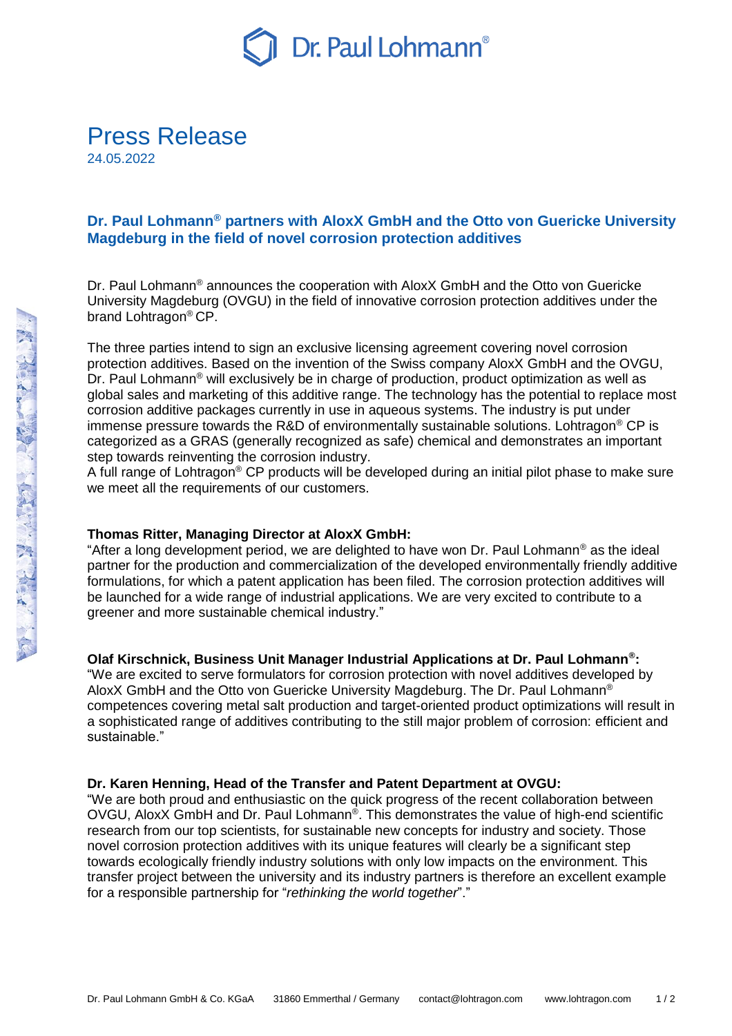

# **Dr. Paul Lohmann® partners with AloxX GmbH and the Otto von Guericke University Magdeburg in the field of novel corrosion protection additives**

Dr. Paul Lohmann<sup>®</sup> announces the cooperation with AloxX GmbH and the Otto von Guericke University Magdeburg (OVGU) in the field of innovative corrosion protection additives under the brand Lohtragon® CP.

The three parties intend to sign an exclusive licensing agreement covering novel corrosion protection additives. Based on the invention of the Swiss company AloxX GmbH and the OVGU, Dr. Paul Lohmann<sup>®</sup> will exclusively be in charge of production, product optimization as well as global sales and marketing of this additive range. The technology has the potential to replace most corrosion additive packages currently in use in aqueous systems. The industry is put under immense pressure towards the R&D of environmentally sustainable solutions. Lohtragon<sup>®</sup> CP is categorized as a GRAS (generally recognized as safe) chemical and demonstrates an important step towards reinventing the corrosion industry.

A full range of Lohtragon<sup>®</sup> CP products will be developed during an initial pilot phase to make sure we meet all the requirements of our customers.

### **Thomas Ritter, Managing Director at AloxX GmbH:**

"After a long development period, we are delighted to have won Dr. Paul Lohmann® as the ideal partner for the production and commercialization of the developed environmentally friendly additive formulations, for which a patent application has been filed. The corrosion protection additives will be launched for a wide range of industrial applications. We are very excited to contribute to a greener and more sustainable chemical industry."

### **Olaf Kirschnick, Business Unit Manager Industrial Applications at Dr. Paul Lohmann® :**

"We are excited to serve formulators for corrosion protection with novel additives developed by AloxX GmbH and the Otto von Guericke University Magdeburg. The Dr. Paul Lohmann® competences covering metal salt production and target-oriented product optimizations will result in a sophisticated range of additives contributing to the still major problem of corrosion: efficient and sustainable."

### **Dr. Karen Henning, Head of the Transfer and Patent Department at OVGU:**

"We are both proud and enthusiastic on the quick progress of the recent collaboration between OVGU, AloxX GmbH and Dr. Paul Lohmann®. This demonstrates the value of high-end scientific research from our top scientists, for sustainable new concepts for industry and society. Those novel corrosion protection additives with its unique features will clearly be a significant step towards ecologically friendly industry solutions with only low impacts on the environment. This transfer project between the university and its industry partners is therefore an excellent example for a responsible partnership for "*rethinking the world together*"."